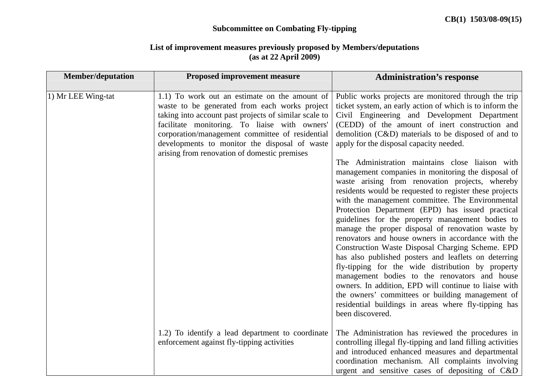## **Subcommittee on Combating Fly-tipping**

## **List of improvement measures previously proposed by Members/deputations (as at 22 April 2009)**

| <b>Member/deputation</b> | <b>Proposed improvement measure</b>                                                                                                                                                                                                                                                                                                                          | <b>Administration's response</b>                                                                                                                                                                                                                                                                                                                                                                                                                                                                                                                                                                                                                                                                                                                                                                                                                                                                                                                                                                                                                                                                                                                                                                                              |
|--------------------------|--------------------------------------------------------------------------------------------------------------------------------------------------------------------------------------------------------------------------------------------------------------------------------------------------------------------------------------------------------------|-------------------------------------------------------------------------------------------------------------------------------------------------------------------------------------------------------------------------------------------------------------------------------------------------------------------------------------------------------------------------------------------------------------------------------------------------------------------------------------------------------------------------------------------------------------------------------------------------------------------------------------------------------------------------------------------------------------------------------------------------------------------------------------------------------------------------------------------------------------------------------------------------------------------------------------------------------------------------------------------------------------------------------------------------------------------------------------------------------------------------------------------------------------------------------------------------------------------------------|
| 1) Mr LEE Wing-tat       | 1.1) To work out an estimate on the amount of<br>waste to be generated from each works project<br>taking into account past projects of similar scale to<br>facilitate monitoring. To liaise with owners'<br>corporation/management committee of residential<br>developments to monitor the disposal of waste<br>arising from renovation of domestic premises | Public works projects are monitored through the trip<br>ticket system, an early action of which is to inform the<br>Civil Engineering and Development Department<br>(CEDD) of the amount of inert construction and<br>demolition (C&D) materials to be disposed of and to<br>apply for the disposal capacity needed.<br>The Administration maintains close liaison with<br>management companies in monitoring the disposal of<br>waste arising from renovation projects, whereby<br>residents would be requested to register these projects<br>with the management committee. The Environmental<br>Protection Department (EPD) has issued practical<br>guidelines for the property management bodies to<br>manage the proper disposal of renovation waste by<br>renovators and house owners in accordance with the<br>Construction Waste Disposal Charging Scheme. EPD<br>has also published posters and leaflets on deterring<br>fly-tipping for the wide distribution by property<br>management bodies to the renovators and house<br>owners. In addition, EPD will continue to liaise with<br>the owners' committees or building management of<br>residential buildings in areas where fly-tipping has<br>been discovered. |
|                          | 1.2) To identify a lead department to coordinate<br>enforcement against fly-tipping activities                                                                                                                                                                                                                                                               | The Administration has reviewed the procedures in<br>controlling illegal fly-tipping and land filling activities<br>and introduced enhanced measures and departmental<br>coordination mechanism. All complaints involving<br>urgent and sensitive cases of depositing of C&D                                                                                                                                                                                                                                                                                                                                                                                                                                                                                                                                                                                                                                                                                                                                                                                                                                                                                                                                                  |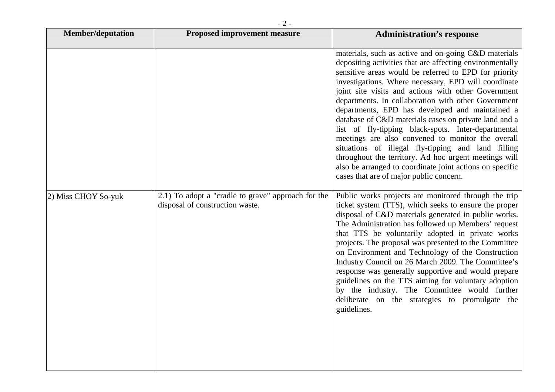| <b>Member/deputation</b> | <b>Proposed improvement measure</b>                                                   | <b>Administration's response</b>                                                                                                                                                                                                                                                                                                                                                                                                                                                                                                                                                                                                                                                                                                                                                              |
|--------------------------|---------------------------------------------------------------------------------------|-----------------------------------------------------------------------------------------------------------------------------------------------------------------------------------------------------------------------------------------------------------------------------------------------------------------------------------------------------------------------------------------------------------------------------------------------------------------------------------------------------------------------------------------------------------------------------------------------------------------------------------------------------------------------------------------------------------------------------------------------------------------------------------------------|
|                          |                                                                                       | materials, such as active and on-going C&D materials<br>depositing activities that are affecting environmentally<br>sensitive areas would be referred to EPD for priority<br>investigations. Where necessary, EPD will coordinate<br>joint site visits and actions with other Government<br>departments. In collaboration with other Government<br>departments, EPD has developed and maintained a<br>database of C&D materials cases on private land and a<br>list of fly-tipping black-spots. Inter-departmental<br>meetings are also convened to monitor the overall<br>situations of illegal fly-tipping and land filling<br>throughout the territory. Ad hoc urgent meetings will<br>also be arranged to coordinate joint actions on specific<br>cases that are of major public concern. |
| 2) Miss CHOY So-yuk      | 2.1) To adopt a "cradle to grave" approach for the<br>disposal of construction waste. | Public works projects are monitored through the trip<br>ticket system (TTS), which seeks to ensure the proper<br>disposal of C&D materials generated in public works.<br>The Administration has followed up Members' request<br>that TTS be voluntarily adopted in private works<br>projects. The proposal was presented to the Committee<br>on Environment and Technology of the Construction<br>Industry Council on 26 March 2009. The Committee's<br>response was generally supportive and would prepare<br>guidelines on the TTS aiming for voluntary adoption<br>by the industry. The Committee would further<br>deliberate on the strategies to promulgate the<br>guidelines.                                                                                                           |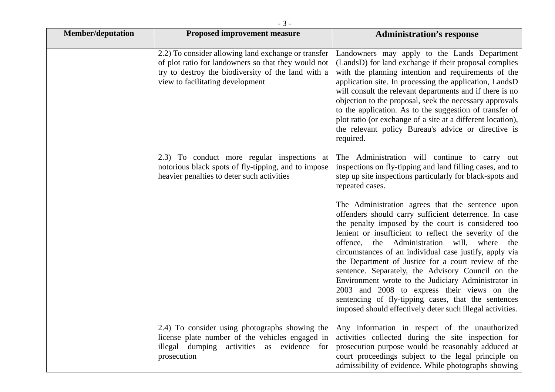| <b>Member/deputation</b> | <b>Proposed improvement measure</b>                                                                                                                                                                  | <b>Administration's response</b>                                                                                                                                                                                                                                                                                                                                                                                                                                                                                                                                                                                                                                               |
|--------------------------|------------------------------------------------------------------------------------------------------------------------------------------------------------------------------------------------------|--------------------------------------------------------------------------------------------------------------------------------------------------------------------------------------------------------------------------------------------------------------------------------------------------------------------------------------------------------------------------------------------------------------------------------------------------------------------------------------------------------------------------------------------------------------------------------------------------------------------------------------------------------------------------------|
|                          | 2.2) To consider allowing land exchange or transfer<br>of plot ratio for landowners so that they would not<br>try to destroy the biodiversity of the land with a<br>view to facilitating development | Landowners may apply to the Lands Department<br>(LandsD) for land exchange if their proposal complies<br>with the planning intention and requirements of the<br>application site. In processing the application, LandsD<br>will consult the relevant departments and if there is no<br>objection to the proposal, seek the necessary approvals<br>to the application. As to the suggestion of transfer of<br>plot ratio (or exchange of a site at a different location),<br>the relevant policy Bureau's advice or directive is<br>required.                                                                                                                                   |
|                          | 2.3) To conduct more regular inspections at<br>notorious black spots of fly-tipping, and to impose<br>heavier penalties to deter such activities                                                     | The Administration will continue to carry out<br>inspections on fly-tipping and land filling cases, and to<br>step up site inspections particularly for black-spots and<br>repeated cases.                                                                                                                                                                                                                                                                                                                                                                                                                                                                                     |
|                          |                                                                                                                                                                                                      | The Administration agrees that the sentence upon<br>offenders should carry sufficient deterrence. In case<br>the penalty imposed by the court is considered too<br>lenient or insufficient to reflect the severity of the<br>the Administration will, where<br>offence,<br>the<br>circumstances of an individual case justify, apply via<br>the Department of Justice for a court review of the<br>sentence. Separately, the Advisory Council on the<br>Environment wrote to the Judiciary Administrator in<br>2003 and 2008 to express their views on the<br>sentencing of fly-tipping cases, that the sentences<br>imposed should effectively deter such illegal activities. |
|                          | 2.4) To consider using photographs showing the<br>license plate number of the vehicles engaged in<br>illegal dumping activities<br>as evidence<br>for<br>prosecution                                 | Any information in respect of the unauthorized<br>activities collected during the site inspection for<br>prosecution purpose would be reasonably adduced at<br>court proceedings subject to the legal principle on<br>admissibility of evidence. While photographs showing                                                                                                                                                                                                                                                                                                                                                                                                     |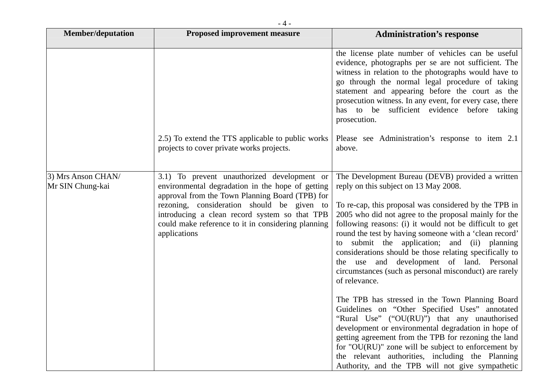| <b>Member/deputation</b>               | <b>Proposed improvement measure</b>                                                                                                                                                                                                                                                                                     | <b>Administration's response</b>                                                                                                                                                                                                                                                                                                                                                                                                                                                                                                                                       |
|----------------------------------------|-------------------------------------------------------------------------------------------------------------------------------------------------------------------------------------------------------------------------------------------------------------------------------------------------------------------------|------------------------------------------------------------------------------------------------------------------------------------------------------------------------------------------------------------------------------------------------------------------------------------------------------------------------------------------------------------------------------------------------------------------------------------------------------------------------------------------------------------------------------------------------------------------------|
|                                        |                                                                                                                                                                                                                                                                                                                         | the license plate number of vehicles can be useful<br>evidence, photographs per se are not sufficient. The<br>witness in relation to the photographs would have to<br>go through the normal legal procedure of taking<br>statement and appearing before the court as the<br>prosecution witness. In any event, for every case, there<br>has to be sufficient evidence before<br>taking<br>prosecution.                                                                                                                                                                 |
|                                        | 2.5) To extend the TTS applicable to public works<br>projects to cover private works projects.                                                                                                                                                                                                                          | Please see Administration's response to item 2.1<br>above.                                                                                                                                                                                                                                                                                                                                                                                                                                                                                                             |
| 3) Mrs Anson CHAN/<br>Mr SIN Chung-kai | 3.1) To prevent unauthorized development or<br>environmental degradation in the hope of getting<br>approval from the Town Planning Board (TPB) for<br>rezoning, consideration should be given to<br>introducing a clean record system so that TPB<br>could make reference to it in considering planning<br>applications | The Development Bureau (DEVB) provided a written<br>reply on this subject on 13 May 2008.<br>To re-cap, this proposal was considered by the TPB in<br>2005 who did not agree to the proposal mainly for the<br>following reasons: (i) it would not be difficult to get<br>round the test by having someone with a 'clean record'<br>submit the application; and (ii) planning<br>to<br>considerations should be those relating specifically to<br>the use and development of land. Personal<br>circumstances (such as personal misconduct) are rarely<br>of relevance. |
|                                        |                                                                                                                                                                                                                                                                                                                         | The TPB has stressed in the Town Planning Board<br>Guidelines on "Other Specified Uses" annotated<br>"Rural Use" ("OU(RU)") that any unauthorised<br>development or environmental degradation in hope of<br>getting agreement from the TPB for rezoning the land<br>for "OU(RU)" zone will be subject to enforcement by<br>the relevant authorities, including the Planning<br>Authority, and the TPB will not give sympathetic                                                                                                                                        |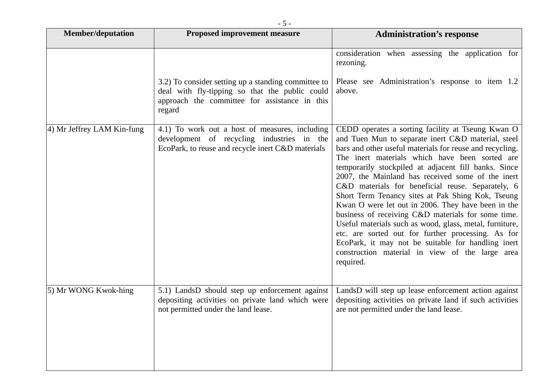| <b>Member/deputation</b>      | <b>Proposed improvement measure</b>                                                                                                                              | <b>Administration's response</b>                                                                                                                                                                                                                                                                                                                                                                                                                                                                                                                                                                                                                                                                                                                                                                |
|-------------------------------|------------------------------------------------------------------------------------------------------------------------------------------------------------------|-------------------------------------------------------------------------------------------------------------------------------------------------------------------------------------------------------------------------------------------------------------------------------------------------------------------------------------------------------------------------------------------------------------------------------------------------------------------------------------------------------------------------------------------------------------------------------------------------------------------------------------------------------------------------------------------------------------------------------------------------------------------------------------------------|
|                               | 3.2) To consider setting up a standing committee to<br>deal with fly-tipping so that the public could<br>approach the committee for assistance in this<br>regard | consideration when assessing the application for<br>rezoning.<br>Please see Administration's response to item 1.2<br>above.                                                                                                                                                                                                                                                                                                                                                                                                                                                                                                                                                                                                                                                                     |
| $(4)$ Mr Jeffrey LAM Kin-fung | 4.1) To work out a host of measures, including<br>development of recycling industries in the<br>EcoPark, to reuse and recycle inert C&D materials                | CEDD operates a sorting facility at Tseung Kwan O<br>and Tuen Mun to separate inert C&D material, steel<br>bars and other useful materials for reuse and recycling.<br>The inert materials which have been sorted are<br>temporarily stockpiled at adjacent fill banks. Since<br>2007, the Mainland has received some of the inert<br>C&D materials for beneficial reuse. Separately, 6<br>Short Term Tenancy sites at Pak Shing Kok, Tseung<br>Kwan O were let out in 2006. They have been in the<br>business of receiving C&D materials for some time.<br>Useful materials such as wood, glass, metal, furniture,<br>etc. are sorted out for further processing. As for<br>EcoPark, it may not be suitable for handling inert<br>construction material in view of the large area<br>required. |
| 5) Mr WONG Kwok-hing          | 5.1) LandsD should step up enforcement against<br>depositing activities on private land which were<br>not permitted under the land lease.                        | LandsD will step up lease enforcement action against<br>depositing activities on private land if such activities<br>are not permitted under the land lease.                                                                                                                                                                                                                                                                                                                                                                                                                                                                                                                                                                                                                                     |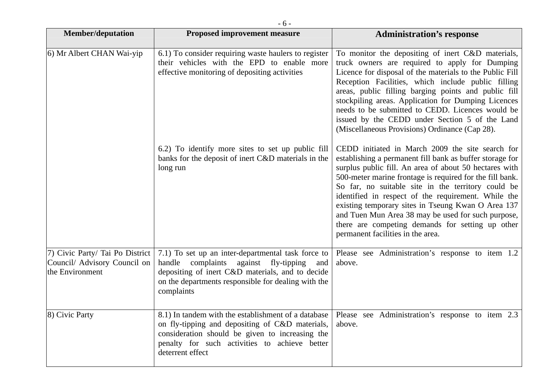| <b>Member/deputation</b>                                                           | <b>Proposed improvement measure</b>                                                                                                                                                                                                  | <b>Administration's response</b>                                                                                                                                                                                                                                                                                                                                                                                                                                                                                                                     |
|------------------------------------------------------------------------------------|--------------------------------------------------------------------------------------------------------------------------------------------------------------------------------------------------------------------------------------|------------------------------------------------------------------------------------------------------------------------------------------------------------------------------------------------------------------------------------------------------------------------------------------------------------------------------------------------------------------------------------------------------------------------------------------------------------------------------------------------------------------------------------------------------|
|                                                                                    |                                                                                                                                                                                                                                      |                                                                                                                                                                                                                                                                                                                                                                                                                                                                                                                                                      |
| 6) Mr Albert CHAN Wai-yip                                                          | 6.1) To consider requiring waste haulers to register<br>their vehicles with the EPD to enable more<br>effective monitoring of depositing activities                                                                                  | To monitor the depositing of inert C&D materials,<br>truck owners are required to apply for Dumping<br>Licence for disposal of the materials to the Public Fill<br>Reception Facilities, which include public filling<br>areas, public filling barging points and public fill<br>stockpiling areas. Application for Dumping Licences<br>needs to be submitted to CEDD. Licences would be<br>issued by the CEDD under Section 5 of the Land<br>(Miscellaneous Provisions) Ordinance (Cap 28).                                                         |
|                                                                                    | 6.2) To identify more sites to set up public fill<br>banks for the deposit of inert C&D materials in the<br>long run                                                                                                                 | CEDD initiated in March 2009 the site search for<br>establishing a permanent fill bank as buffer storage for<br>surplus public fill. An area of about 50 hectares with<br>500-meter marine frontage is required for the fill bank.<br>So far, no suitable site in the territory could be<br>identified in respect of the requirement. While the<br>existing temporary sites in Tseung Kwan O Area 137<br>and Tuen Mun Area 38 may be used for such purpose,<br>there are competing demands for setting up other<br>permanent facilities in the area. |
| 7) Civic Party/ Tai Po District<br>Council/ Advisory Council on<br>the Environment | 7.1) To set up an inter-departmental task force to<br>complaints<br>against<br>handle<br>fly-tipping<br>and<br>depositing of inert C&D materials, and to decide<br>on the departments responsible for dealing with the<br>complaints | Please see Administration's response to item 1.2<br>above.                                                                                                                                                                                                                                                                                                                                                                                                                                                                                           |
| 8) Civic Party                                                                     | 8.1) In tandem with the establishment of a database<br>on fly-tipping and depositing of C&D materials,<br>consideration should be given to increasing the<br>penalty for such activities to achieve better<br>deterrent effect       | Please see Administration's response to item 2.3<br>above.                                                                                                                                                                                                                                                                                                                                                                                                                                                                                           |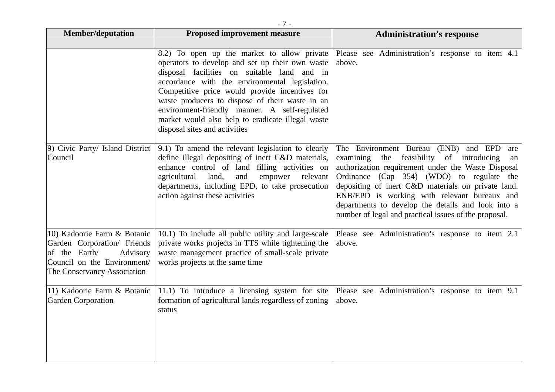| <b>Member/deputation</b>                                                                                                                              | <b>Proposed improvement measure</b>                                                                                                                                                                                                                                                                                                                                                                                                         | <b>Administration's response</b>                                                                                                                                                                                                                                                                                                                                                                                      |
|-------------------------------------------------------------------------------------------------------------------------------------------------------|---------------------------------------------------------------------------------------------------------------------------------------------------------------------------------------------------------------------------------------------------------------------------------------------------------------------------------------------------------------------------------------------------------------------------------------------|-----------------------------------------------------------------------------------------------------------------------------------------------------------------------------------------------------------------------------------------------------------------------------------------------------------------------------------------------------------------------------------------------------------------------|
|                                                                                                                                                       | 8.2) To open up the market to allow private<br>operators to develop and set up their own waste<br>disposal facilities on suitable land and in<br>accordance with the environmental legislation.<br>Competitive price would provide incentives for<br>waste producers to dispose of their waste in an<br>environment-friendly manner. A self-regulated<br>market would also help to eradicate illegal waste<br>disposal sites and activities | Please see Administration's response to item 4.1<br>above.                                                                                                                                                                                                                                                                                                                                                            |
| 9) Civic Party/ Island District<br>Council                                                                                                            | 9.1) To amend the relevant legislation to clearly<br>define illegal depositing of inert C&D materials,<br>enhance control of land filling activities on<br>agricultural<br>land,<br>and<br>empower<br>relevant<br>departments, including EPD, to take prosecution<br>action against these activities                                                                                                                                        | The Environment Bureau (ENB) and EPD<br>are<br>examining the feasibility of introducing<br>an<br>authorization requirement under the Waste Disposal<br>Ordinance (Cap 354) (WDO) to regulate the<br>depositing of inert C&D materials on private land.<br>ENB/EPD is working with relevant bureaux and<br>departments to develop the details and look into a<br>number of legal and practical issues of the proposal. |
| 10) Kadoorie Farm & Botanic<br>Garden Corporation/ Friends<br>of the Earth/<br>Advisory<br>Council on the Environment/<br>The Conservancy Association | 10.1) To include all public utility and large-scale<br>private works projects in TTS while tightening the<br>waste management practice of small-scale private<br>works projects at the same time                                                                                                                                                                                                                                            | Please see Administration's response to item 2.1<br>above.                                                                                                                                                                                                                                                                                                                                                            |
| 11) Kadoorie Farm & Botanic<br>Garden Corporation                                                                                                     | 11.1) To introduce a licensing system for site<br>formation of agricultural lands regardless of zoning<br>status                                                                                                                                                                                                                                                                                                                            | Please see Administration's response to item 9.1<br>above.                                                                                                                                                                                                                                                                                                                                                            |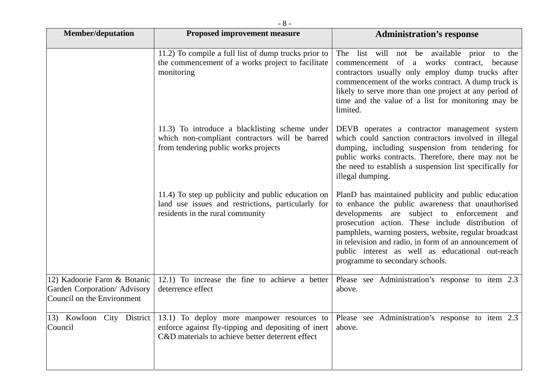| <b>Member/deputation</b>                                                                  | <b>Proposed improvement measure</b>                                                                                                                   | <b>Administration's response</b>                                                                                                                                                                                                                                                                                                                                                                                        |
|-------------------------------------------------------------------------------------------|-------------------------------------------------------------------------------------------------------------------------------------------------------|-------------------------------------------------------------------------------------------------------------------------------------------------------------------------------------------------------------------------------------------------------------------------------------------------------------------------------------------------------------------------------------------------------------------------|
|                                                                                           | 11.2) To compile a full list of dump trucks prior to<br>the commencement of a works project to facilitate<br>monitoring                               | list will not be available prior to the<br>The<br>commencement of a works contract,<br>because<br>contractors usually only employ dump trucks after<br>commencement of the works contract. A dump truck is<br>likely to serve more than one project at any period of<br>time and the value of a list for monitoring may be<br>limited.                                                                                  |
|                                                                                           | 11.3) To introduce a blacklisting scheme under<br>which non-compliant contractors will be barred<br>from tendering public works projects              | DEVB operates a contractor management system<br>which could sanction contractors involved in illegal<br>dumping, including suspension from tendering for<br>public works contracts. Therefore, there may not be<br>the need to establish a suspension list specifically for<br>illegal dumping.                                                                                                                         |
|                                                                                           | 11.4) To step up publicity and public education on<br>land use issues and restrictions, particularly for<br>residents in the rural community          | PlanD has maintained publicity and public education<br>to enhance the public awareness that unauthorised<br>developments are subject to enforcement and<br>prosecution action. These include distribution of<br>pamphlets, warning posters, website, regular broadcast<br>in television and radio, in form of an announcement of<br>public interest as well as educational out-reach<br>programme to secondary schools. |
| 12) Kadoorie Farm & Botanic<br>Garden Corporation/ Advisory<br>Council on the Environment | 12.1) To increase the fine to achieve a better<br>deterrence effect                                                                                   | Please see Administration's response to item 2.3<br>above.                                                                                                                                                                                                                                                                                                                                                              |
| 13) Kowloon City District<br>Council                                                      | 13.1) To deploy more manpower resources to<br>enforce against fly-tipping and depositing of inert<br>C&D materials to achieve better deterrent effect | Please see Administration's response to item 2.3<br>above.                                                                                                                                                                                                                                                                                                                                                              |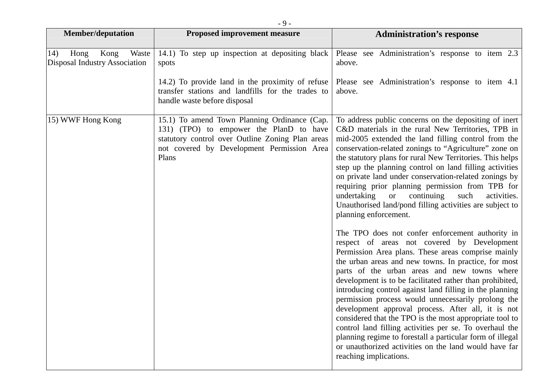| <b>Member/deputation</b>                                      | <b>Proposed improvement measure</b>                                                                                                                                                                | <b>Administration's response</b>                                                                                                                                                                                                                                                                                                                                                                                                                                                                                                                                                                                                                                                                                                                                        |
|---------------------------------------------------------------|----------------------------------------------------------------------------------------------------------------------------------------------------------------------------------------------------|-------------------------------------------------------------------------------------------------------------------------------------------------------------------------------------------------------------------------------------------------------------------------------------------------------------------------------------------------------------------------------------------------------------------------------------------------------------------------------------------------------------------------------------------------------------------------------------------------------------------------------------------------------------------------------------------------------------------------------------------------------------------------|
| Kong<br>Waste<br>14)<br>Hong<br>Disposal Industry Association | 14.1) To step up inspection at depositing black<br>spots                                                                                                                                           | Please see Administration's response to item 2.3<br>above.                                                                                                                                                                                                                                                                                                                                                                                                                                                                                                                                                                                                                                                                                                              |
|                                                               | 14.2) To provide land in the proximity of refuse<br>transfer stations and landfills for the trades to<br>handle waste before disposal                                                              | Please see Administration's response to item 4.1<br>above.                                                                                                                                                                                                                                                                                                                                                                                                                                                                                                                                                                                                                                                                                                              |
| 15) WWF Hong Kong                                             | 15.1) To amend Town Planning Ordinance (Cap.<br>131) (TPO) to empower the PlanD to have<br>statutory control over Outline Zoning Plan areas<br>not covered by Development Permission Area<br>Plans | To address public concerns on the depositing of inert<br>C&D materials in the rural New Territories, TPB in<br>mid-2005 extended the land filling control from the<br>conservation-related zonings to "Agriculture" zone on<br>the statutory plans for rural New Territories. This helps<br>step up the planning control on land filling activities<br>on private land under conservation-related zonings by<br>requiring prior planning permission from TPB for<br>undertaking<br><sub>or</sub><br>continuing<br>such<br>activities.<br>Unauthorised land/pond filling activities are subject to<br>planning enforcement.                                                                                                                                              |
|                                                               |                                                                                                                                                                                                    | The TPO does not confer enforcement authority in<br>respect of areas not covered by Development<br>Permission Area plans. These areas comprise mainly<br>the urban areas and new towns. In practice, for most<br>parts of the urban areas and new towns where<br>development is to be facilitated rather than prohibited,<br>introducing control against land filling in the planning<br>permission process would unnecessarily prolong the<br>development approval process. After all, it is not<br>considered that the TPO is the most appropriate tool to<br>control land filling activities per se. To overhaul the<br>planning regime to forestall a particular form of illegal<br>or unauthorized activities on the land would have far<br>reaching implications. |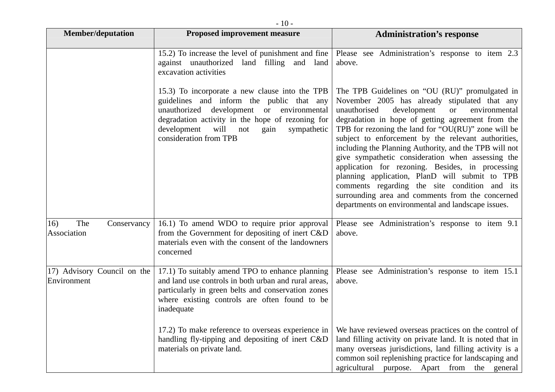|                                            | - 111 -                                                                                                                                                                                                                                                                     |                                                                                                                                                                                                                                                                                                                                                                                                                                                                                                                                                                                                                                                                                                                         |
|--------------------------------------------|-----------------------------------------------------------------------------------------------------------------------------------------------------------------------------------------------------------------------------------------------------------------------------|-------------------------------------------------------------------------------------------------------------------------------------------------------------------------------------------------------------------------------------------------------------------------------------------------------------------------------------------------------------------------------------------------------------------------------------------------------------------------------------------------------------------------------------------------------------------------------------------------------------------------------------------------------------------------------------------------------------------------|
| <b>Member/deputation</b>                   | <b>Proposed improvement measure</b>                                                                                                                                                                                                                                         | <b>Administration's response</b>                                                                                                                                                                                                                                                                                                                                                                                                                                                                                                                                                                                                                                                                                        |
|                                            | 15.2) To increase the level of punishment and fine<br>against unauthorized land filling and land<br>excavation activities                                                                                                                                                   | Please see Administration's response to item 2.3<br>above.                                                                                                                                                                                                                                                                                                                                                                                                                                                                                                                                                                                                                                                              |
|                                            | 15.3) To incorporate a new clause into the TPB<br>guidelines and inform the public that any<br>unauthorized development or environmental<br>degradation activity in the hope of rezoning for<br>development<br>will<br>sympathetic<br>not<br>gain<br>consideration from TPB | The TPB Guidelines on "OU (RU)" promulgated in<br>November 2005 has already stipulated that any<br>development<br>environmental<br>unauthorised<br><sub>or</sub><br>degradation in hope of getting agreement from the<br>TPB for rezoning the land for " $OU(RU)$ " zone will be<br>subject to enforcement by the relevant authorities,<br>including the Planning Authority, and the TPB will not<br>give sympathetic consideration when assessing the<br>application for rezoning. Besides, in processing<br>planning application, PlanD will submit to TPB<br>comments regarding the site condition and its<br>surrounding area and comments from the concerned<br>departments on environmental and landscape issues. |
| The<br>16)<br>Conservancy<br>Association   | 16.1) To amend WDO to require prior approval<br>from the Government for depositing of inert C&D<br>materials even with the consent of the landowners<br>concerned                                                                                                           | Please see Administration's response to item 9.1<br>above.                                                                                                                                                                                                                                                                                                                                                                                                                                                                                                                                                                                                                                                              |
| 17) Advisory Council on the<br>Environment | 17.1) To suitably amend TPO to enhance planning<br>and land use controls in both urban and rural areas,<br>particularly in green belts and conservation zones<br>where existing controls are often found to be<br>inadequate                                                | Please see Administration's response to item 15.1<br>above.                                                                                                                                                                                                                                                                                                                                                                                                                                                                                                                                                                                                                                                             |
|                                            | 17.2) To make reference to overseas experience in<br>handling fly-tipping and depositing of inert C&D<br>materials on private land.                                                                                                                                         | We have reviewed overseas practices on the control of<br>land filling activity on private land. It is noted that in<br>many overseas jurisdictions, land filling activity is a<br>common soil replenishing practice for landscaping and<br>purpose. Apart from<br>agricultural<br>the<br>general                                                                                                                                                                                                                                                                                                                                                                                                                        |